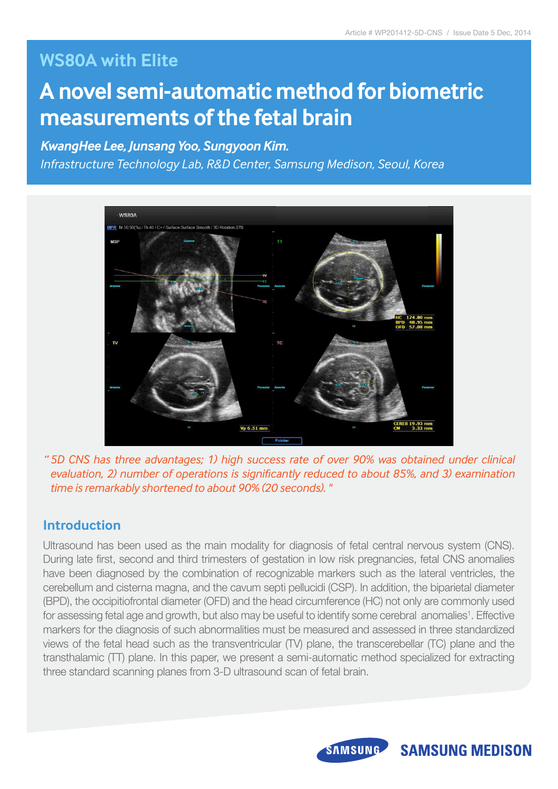# **WS80A with Elite**

# **A novel semi-automatic method for biometric measurements of the fetal brain**

## *KwangHee Lee, Junsang Yoo, Sungyoon Kim.*

*Infrastructure Technology Lab, R&D Center, Samsung Medison, Seoul, Korea*



*" 5D CNS has three advantages; 1) high success rate of over 90% was obtained under clinical evaluation, 2) number of operations is significantly reduced to about 85%, and 3) examination time is remarkably shortened to about 90% (20 seconds). "*

### **Introduction**

Ultrasound has been used as the main modality for diagnosis of fetal central nervous system (CNS). During late first, second and third trimesters of gestation in low risk pregnancies, fetal CNS anomalies have been diagnosed by the combination of recognizable markers such as the lateral ventricles, the cerebellum and cisterna magna, and the cavum septi pellucidi (CSP). In addition, the biparietal diameter (BPD), the occipitiofrontal diameter (OFD) and the head circumference (HC) not only are commonly used for assessing fetal age and growth, but also may be useful to identify some cerebral anomalies<sup>1</sup>. Effective markers for the diagnosis of such abnormalities must be measured and assessed in three standardized views of the fetal head such as the transventricular (TV) plane, the transcerebellar (TC) plane and the transthalamic (TT) plane. In this paper, we present a semi-automatic method specialized for extracting three standard scanning planes from 3-D ultrasound scan of fetal brain.



# **SAMSUNG MEDISON**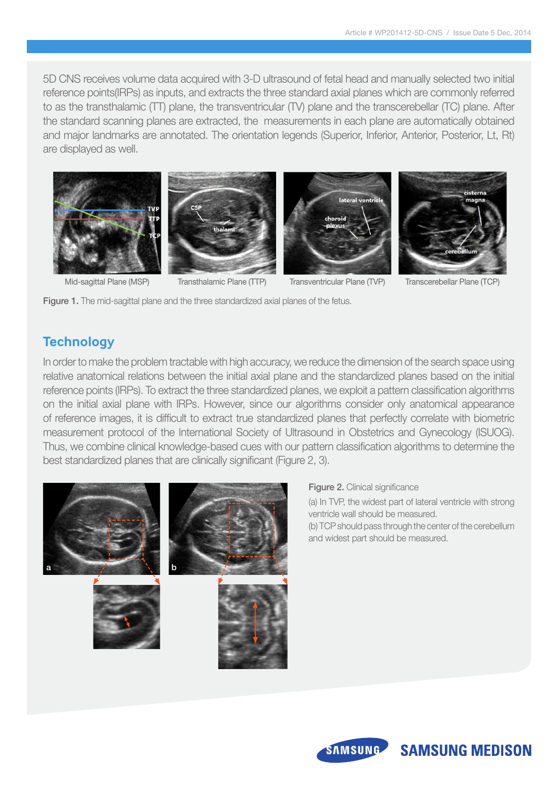5D CNS receives volume data acquired with 3-D ultrasound of fetal head and manually selected two initial reference points(IRPs) as inputs, and extracts the three standard axial planes which are commonly referred to as the transthalamic (TT) plane, the transventricular (TV) plane and the transcerebellar (TC) plane. After the standard scanning planes are extracted, the measurements in each plane are automatically obtained and major landmarks are annotated. The orientation legends (Superior, Inferior, Anterior, Posterior, Lt, Rt) are displayed as well.





#### Figure 1. The mid-sagittal plane and the three standardized axial planes of the fetus.

### **Technology**

In order to make the problem tractable with high accuracy, we reduce the dimension of the search space using relative anatomical relations between the initial axial plane and the standardized planes based on the initial reference points (IRPs). To extract the three standardized planes, we exploit a pattern classification algorithms on the initial axial plane with IRPs. However, since our algorithms consider only anatomical appearance of reference images, it is difficult to extract true standardized planes that perfectly correlate with biometric measurement protocol of the International Society of Ultrasound in Obstetrics and Gynecology (ISUOG). Thus, we combine clinical knowledge-based cues with our pattern classification algorithms to determine the best standardized planes that are clinically significant (Figure 2, 3).



Figure 2. Clinical significance

(a) In TVP, the widest part of lateral ventricle with strong ventricle wall should be measured.

(b) TCP should pass through the center of the cerebellum and widest part should be measured.



# **SAMSUNG MEDISON**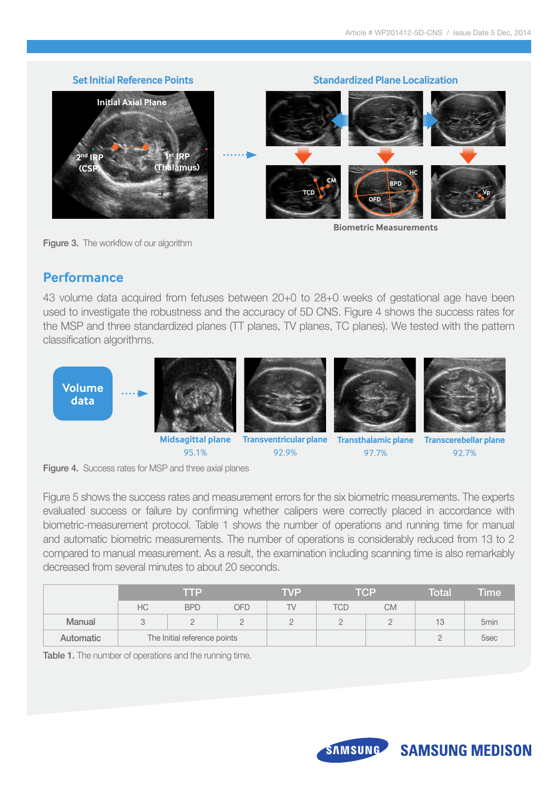

Figure 3. The workflow of our algorithm

**Biometric Measurements**

### **Performance**

43 volume data acquired from fetuses between 20+0 to 28+0 weeks of gestational age have been used to investigate the robustness and the accuracy of 5D CNS. Figure 4 shows the success rates for the MSP and three standardized planes (TT planes, TV planes, TC planes). We tested with the pattern classification algorithms.





95.1%



**Midsagittal plane Transventricular plane Transthalamic plane** 92.9%



97.7%



**Transcerebellar plane** 92.7%



Figure 5 shows the success rates and measurement errors for the six biometric measurements. The experts evaluated success or failure by confirming whether calipers were correctly placed in accordance with biometric-measurement protocol. Table 1 shows the number of operations and running time for manual and automatic biometric measurements. The number of operations is considerably reduced from 13 to 2 compared to manual measurement. As a result, the examination including scanning time is also remarkably decreased from several minutes to about 20 seconds.

|               | me                           |            | TVP | TCP |          | Total | <b>Time</b> |                  |
|---------------|------------------------------|------------|-----|-----|----------|-------|-------------|------------------|
|               | НC                           | <b>BPD</b> | OFD | TV  | TCD      | СM    |             |                  |
| <b>Manual</b> |                              |            |     |     | <u>_</u> |       | 13          | 5 <sub>min</sub> |
| Automatic     | The Initial reference points |            |     |     |          |       |             | 5sec             |

Table 1. The number of operations and the running time.